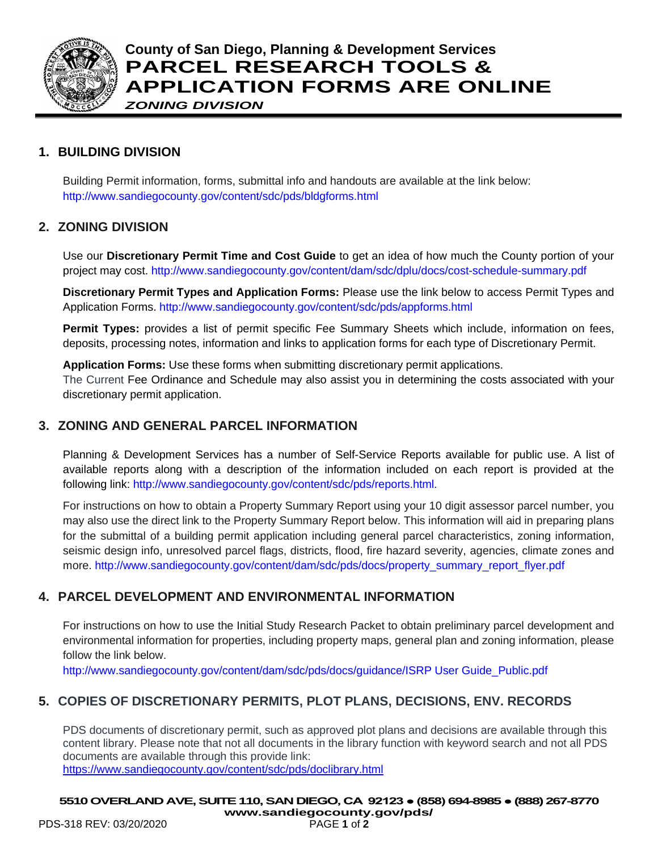

### **County of San Diego, Planning & Development Services PARCEL RESEARCH TOOLS & APPLICATION FORMS ARE ONLINE** *ZONING DIVISION*

#### **1. BUILDING DIVISION**

Building Permit information, forms, submittal info and handouts are available at the link below: <http://www.sandiegocounty.gov/content/sdc/pds/bldgforms.html>

#### **2. ZONING DIVISION**

Use our **Discretionary Permit Time and Cost Guide** to get an idea of how much the County portion of your project may cost. <http://www.sandiegocounty.gov/content/dam/sdc/dplu/docs/cost-schedule-summary.pdf>

**Discretionary Permit Types and Application Forms:** Please use the link below to access Permit Types and Application Forms. <http://www.sandiegocounty.gov/content/sdc/pds/appforms.html>

**Permit Types:** provides a list of permit specific Fee Summary Sheets which include, information on fees, deposits, processing notes, information and links to application forms for each type of Discretionary Permit.

**Application Forms:** Use these forms when submitting discretionary permit applications.

The Current Fee Ordinance and Schedule may also assist you in determining the costs associated with your discretionary permit application.

#### **3. ZONING AND GENERAL PARCEL INFORMATION**

Planning & Development Services has a number of Self-Service Reports available for public use. A list of available reports along with a description of the information included on each report is provided at the following link: [http://www.sandiegocounty.gov/content/sdc/pds/reports.html.](http://www.sandiegocounty.gov/content/sdc/pds/reports.html)

For instructions on how to obtain a Property Summary Report using your 10 digit assessor parcel number, you may also use the direct link to the Property Summary Report below. This information will aid in preparing plans for the submittal of a building permit application including general parcel characteristics, zoning information, seismic design info, unresolved parcel flags, districts, flood, fire hazard severity, agencies, climate zones and more. [http://www.sandiegocounty.gov/content/dam/sdc/pds/docs/property\\_summary\\_report\\_flyer.pdf](http://www.sandiegocounty.gov/content/dam/sdc/pds/docs/property_summary_report_flyer.pdf)

#### **4. PARCEL DEVELOPMENT AND ENVIRONMENTAL INFORMATION**

For instructions on how to use the Initial Study Research Packet to obtain preliminary parcel development and environmental information for properties, including property maps, general plan and zoning information, please follow the link below.

[http://www.sandiegocounty.gov/content/dam/sdc/pds/docs/guidance/ISRP User Guide\\_Public.pdf](http://www.sandiegocounty.gov/content/dam/sdc/pds/docs/guidance/ISRP%20User%20Guide_Public.pdf)

#### **5. COPIES OF DISCRETIONARY PERMITS, PLOT PLANS, DECISIONS, ENV. RECORDS**

PDS documents of discretionary permit, such as approved plot plans and decisions are available through this content library. Please note that not all documents in the library function with keyword search and not all PDS documents are available through this provide link: <https://www.sandiegocounty.gov/content/sdc/pds/doclibrary.html>

**5510 OVERLAND AVE, SUITE 110, SAN DIEGO, CA 92123 ● (858) 694-8985● (888) 267-8770**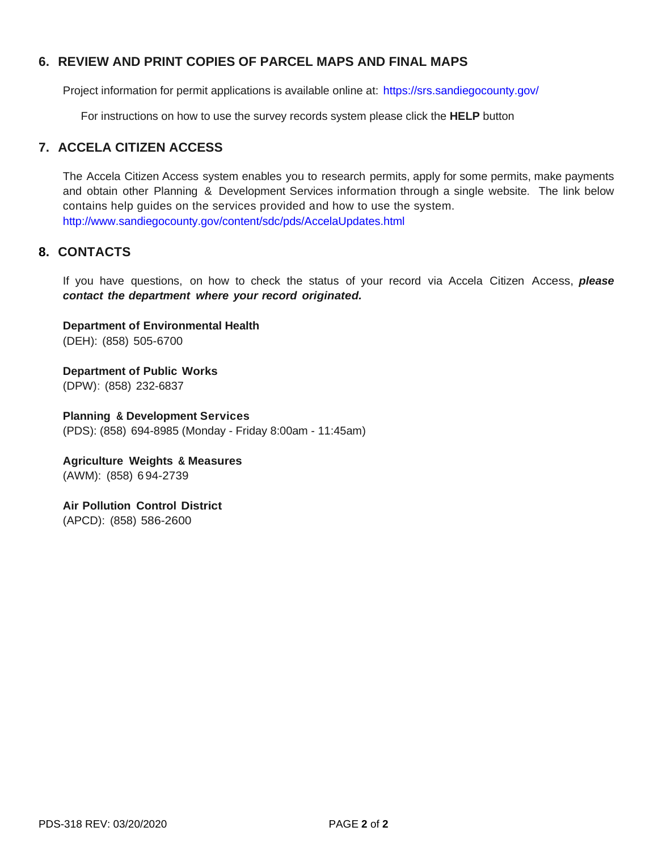#### **6. REVIEW AND PRINT COPIES OF PARCEL MAPS AND FINAL MAPS**

Project information for permit applications is available online at: <https://srs.sandiegocounty.gov/>

For instructions on how to use the survey records system please click the **HELP** button

#### **7. ACCELA CITIZEN ACCESS**

The Accela Citizen Access system enables you to research permits, apply for some permits, make payments and obtain other Planning & Development Services information through a single website. The link below contains help guides on the services provided and how to use the system. <http://www.sandiegocounty.gov/content/sdc/pds/AccelaUpdates.html>

#### **8. CONTACTS**

If you have questions, on how to check the status of your record via Accela Citizen Access, *please contact the department where your record originated.*

**Department of Environmental Health** (DEH): (858) 505-6700

**Department of Public Works** (DPW): (858) 232-6837

**Planning & Development Services** (PDS): (858) 694-8985 (Monday - Friday 8:00am - 11:45am)

**Agriculture Weights & Measures** (AWM): (858) 694-2739

**Air Pollution Control District** (APCD): (858) 586-2600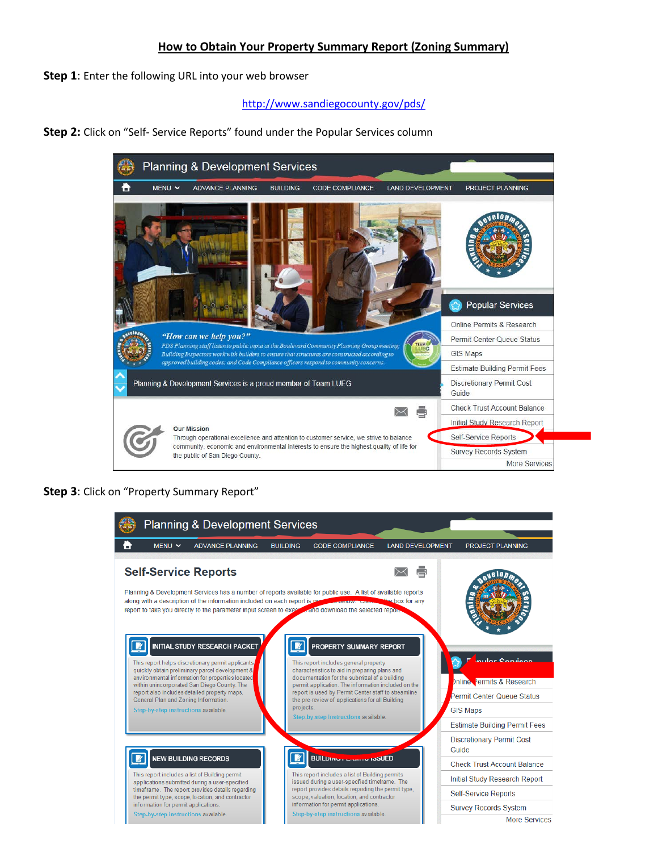#### **How to Obtain Your Property Summary Report (Zoning Summary)**

**Step 1**: Enter the following URL into your web browser

<http://www.sandiegocounty.gov/pds/>

**Step 2:** Click on "Self- Service Reports" found under the Popular Services column



**Step 3**: Click on "Property Summary Report"

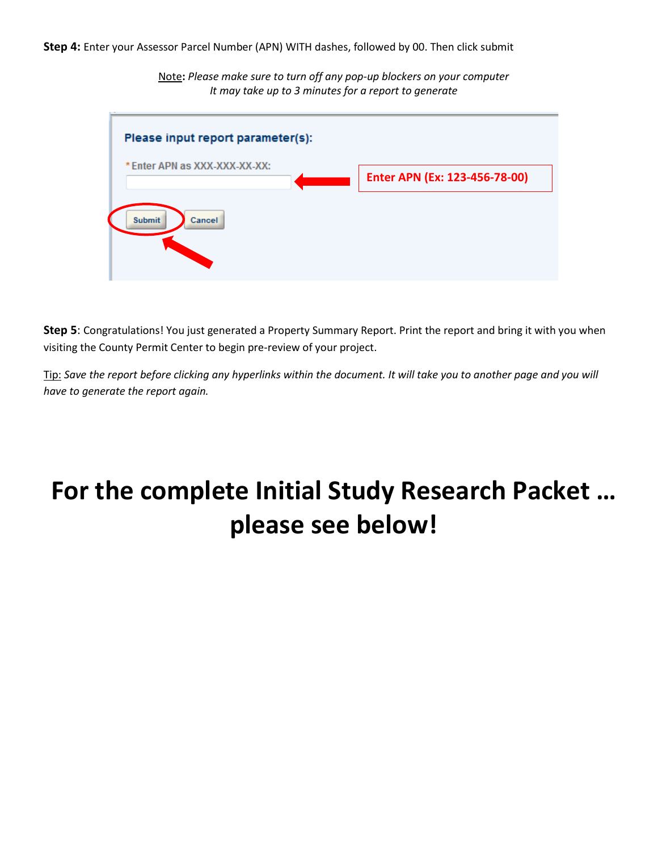Note**:** *Please make sure to turn off any pop-up blockers on your computer It may take up to 3 minutes for a report to generate*



**Step 5**: Congratulations! You just generated a Property Summary Report. Print the report and bring it with you when visiting the County Permit Center to begin pre-review of your project.

Tip: *Save the report before clicking any hyperlinks within the document. It will take you to another page and you will have to generate the report again.* 

# **For the complete Initial Study Research Packet … please see below!**